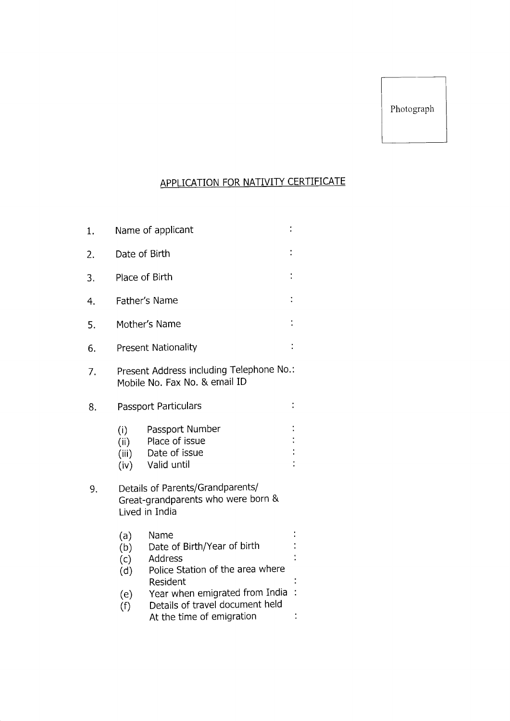### APPLICATION FOR NATIVITY CERTIFICATE

| 1. | Name of applicant                                                         |                                                                                                       |  |  |  |
|----|---------------------------------------------------------------------------|-------------------------------------------------------------------------------------------------------|--|--|--|
| 2. | Date of Birth                                                             |                                                                                                       |  |  |  |
| 3. | $\ddot{\cdot}$<br>Place of Birth                                          |                                                                                                       |  |  |  |
| 4. | Father's Name                                                             |                                                                                                       |  |  |  |
| 5. | Mother's Name                                                             |                                                                                                       |  |  |  |
| 6. | <b>Present Nationality</b>                                                |                                                                                                       |  |  |  |
| 7. | Present Address including Telephone No.:<br>Mobile No. Fax No. & email ID |                                                                                                       |  |  |  |
| 8. | Passport Particulars                                                      |                                                                                                       |  |  |  |
|    | (i)<br>(ii)<br>(iii)<br>(iv)                                              | Passport Number<br>Place of issue<br>Date of issue<br>Valid until                                     |  |  |  |
| 9. |                                                                           | Details of Parents/Grandparents/<br>Great-grandparents who were born &<br>Lived in India              |  |  |  |
|    | (a)<br>(b)<br>(c)<br>(d)                                                  | Name<br>Date of Birth/Year of birth<br><b>Address</b><br>Police Station of the area where<br>Resident |  |  |  |
|    | (e)<br>(f)                                                                | Year when emigrated from India<br>Details of travel document held<br>At the time of emigration        |  |  |  |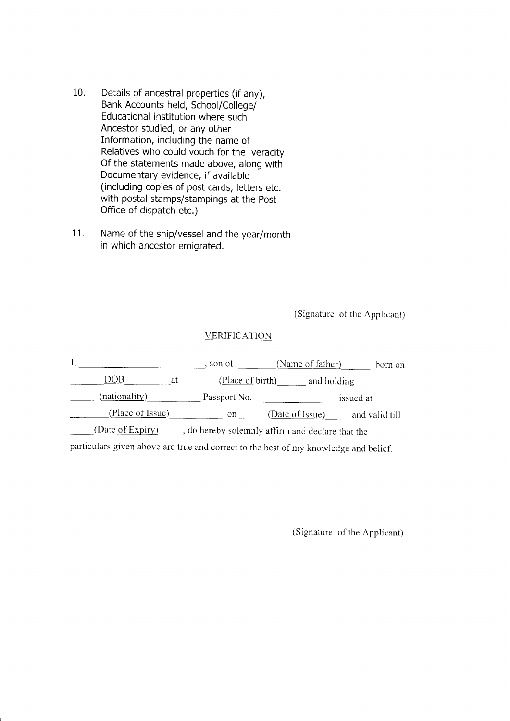- 10, Details of ancestral properties (if any), Bank Accounts held, School/College/ Educational institution where such Ancestor studied, or any other Information, including the name of Relatives who could vouch for the veracity Of the statements made above, along with Documentary evidence, if available (including copies of post cards, letters etc. with postal stamps/stampings at the post Office of dispatch etc,)
- 11. Name of the ship/vessel and the year/month in which ancestor emiqrated.

(Signature of the Applicant)

#### **VERIFICATION**

|                                                                                      |     | , son of         |  | (Name of father) |           | born on        |
|--------------------------------------------------------------------------------------|-----|------------------|--|------------------|-----------|----------------|
| DOB                                                                                  | -at | (Place of birth) |  | and holding      |           |                |
| (nationality)                                                                        |     | Passport No.     |  |                  | issued at |                |
| (Place of Issue)                                                                     |     | <sub>on</sub>    |  | (Date of Issue)  |           | and valid till |
| (Date of Expiry)<br>, do hereby solemnly affirm and declare that the                 |     |                  |  |                  |           |                |
| particulars given above are true and correct to the best of my knowledge and belief. |     |                  |  |                  |           |                |

(Signature of the Applicant)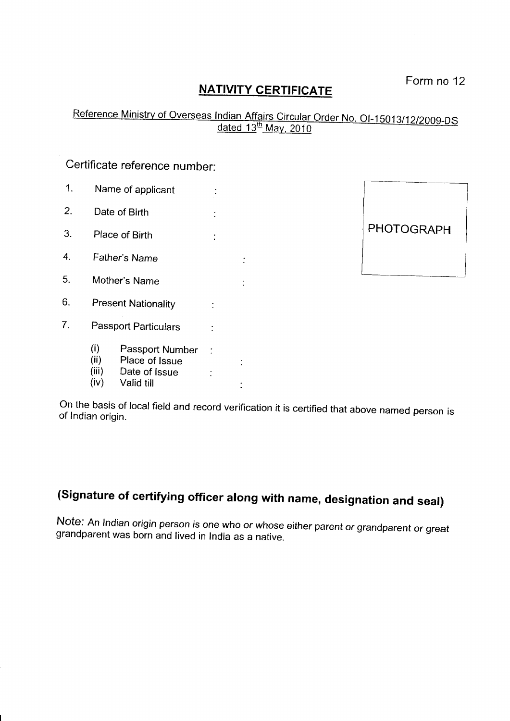## **NATIVITY CERTIFICATE** Form no 12

# Reference Ministry of Overseas Indian Affairs Circular Order No. OI-15013/12/2009-DS<br>dated 13<sup>th</sup> May, 2010

#### Certificate reference number:

1. Name of applicant : 2. Date of Birth : 3. Place of Birth : 4. Father's Name 5. Mother's Name  $6.$ Present Nationality  $\frac{1}{2}$ 7. Passport Particulars :

> (i) Passport Number<br>(ii) Place of Issue (ii) Place of Issue<br>(iii) Date of Issue

(iii) Date of Issue :<br>(iv) Valid till Valid till



On the basis of local field and record verification it is certified that above named person is of Indian origin.

 $\mathbb{R}^2$ 

## (Signature of certifying officer along with name, designation and seal)

Note: An Indian origin person is one who or whose either parent or grandparent or great grandparent was born and lived in India as a native.